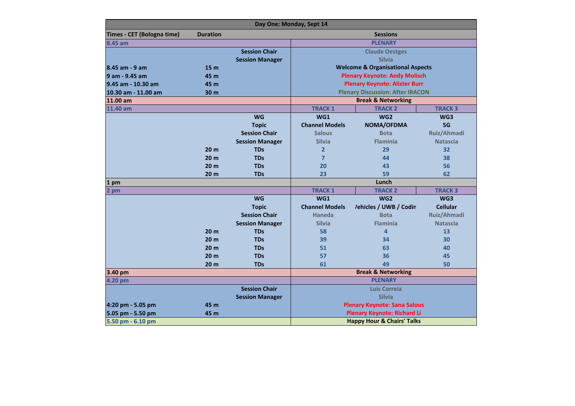| Day One: Monday, Sept 14   |                 |                        |                                             |                        |                 |  |  |  |
|----------------------------|-----------------|------------------------|---------------------------------------------|------------------------|-----------------|--|--|--|
| Times - CET (Bologna time) | <b>Duration</b> |                        | <b>Sessions</b>                             |                        |                 |  |  |  |
| 8.45 am                    |                 |                        | <b>PLENARY</b>                              |                        |                 |  |  |  |
|                            |                 | <b>Session Chair</b>   | <b>Claude Oestges</b>                       |                        |                 |  |  |  |
|                            |                 | <b>Session Manager</b> | <b>Silvia</b>                               |                        |                 |  |  |  |
| 8.45 am - 9 am             | 15 <sub>m</sub> |                        | <b>Welcome &amp; Organisational Aspects</b> |                        |                 |  |  |  |
| 9 am - 9.45 am             | 45 m            |                        | <b>Plenary Keynote: Andy Molisch</b>        |                        |                 |  |  |  |
| 9.45 am - 10.30 am         | 45 m            |                        | <b>Plenary Keynote: Alister Burr</b>        |                        |                 |  |  |  |
| 10.30 am - 11.00 am        | 30 m            |                        | <b>Plenary Discussion: After IRACON</b>     |                        |                 |  |  |  |
| 11.00 am                   |                 |                        | <b>Break &amp; Networking</b>               |                        |                 |  |  |  |
| 11.40 am                   |                 |                        | <b>TRACK 1</b>                              | <b>TRACK 2</b>         | <b>TRACK 3</b>  |  |  |  |
|                            |                 | <b>WG</b>              | WG1                                         | WG <sub>2</sub>        | WG3             |  |  |  |
|                            |                 | <b>Topic</b>           | <b>Channel Models</b>                       | NOMA/OFDMA             | 5G              |  |  |  |
|                            |                 | <b>Session Chair</b>   | <b>Salous</b>                               | <b>Bota</b>            | Ruiz/Ahmadi     |  |  |  |
|                            |                 | <b>Session Manager</b> | <b>Silvia</b>                               | <b>Flaminia</b>        | <b>Natascia</b> |  |  |  |
|                            | 20 <sub>m</sub> | <b>TDs</b>             | $\overline{2}$                              | 29                     | 32              |  |  |  |
|                            | 20 <sub>m</sub> | <b>TDs</b>             | $\overline{7}$                              | 44                     | 38              |  |  |  |
|                            | 20 <sub>m</sub> | <b>TDs</b>             | 20                                          | 43                     | 56              |  |  |  |
|                            | 20 <sub>m</sub> | <b>TDs</b>             | 23                                          | 59                     | 62              |  |  |  |
| 1<br>pm                    |                 |                        | Lunch                                       |                        |                 |  |  |  |
| $\mathbf{z}$<br>pm         |                 |                        | <b>TRACK 1</b>                              | <b>TRACK 2</b>         | <b>TRACK 3</b>  |  |  |  |
|                            |                 | <b>WG</b>              | WG1                                         | WG <sub>2</sub>        | WG3             |  |  |  |
|                            |                 | <b>Topic</b>           | <b>Channel Models</b>                       | /ehicles / UWB / Codin | <b>Cellular</b> |  |  |  |
|                            |                 | <b>Session Chair</b>   | <b>Haneda</b>                               | <b>Bota</b>            | Ruiz/Ahmadi     |  |  |  |
|                            |                 | <b>Session Manager</b> | <b>Silvia</b>                               | <b>Flaminia</b>        | <b>Natascia</b> |  |  |  |
|                            | 20 <sub>m</sub> | <b>TDs</b>             | 58                                          | $\overline{4}$         | 13              |  |  |  |
|                            | 20 <sub>m</sub> | <b>TDs</b>             | 39                                          | 34                     | 30              |  |  |  |
|                            | 20 <sub>m</sub> | <b>TDs</b>             | 51                                          | 63                     | 40              |  |  |  |
|                            | 20 <sub>m</sub> | <b>TDs</b>             | 57                                          | 36                     | 45              |  |  |  |
|                            | 20 <sub>m</sub> | <b>TDs</b>             | 61                                          | 49                     | 50              |  |  |  |
| 3.40 pm                    |                 |                        | <b>Break &amp; Networking</b>               |                        |                 |  |  |  |
| 4.20 pm                    |                 |                        | <b>PLENARY</b>                              |                        |                 |  |  |  |
|                            |                 | <b>Session Chair</b>   | Luis Correia                                |                        |                 |  |  |  |
|                            |                 | <b>Session Manager</b> | <b>Silvia</b>                               |                        |                 |  |  |  |
| 4:20 pm - 5.05 pm          | 45 m            |                        | <b>Plenary Keynote: Sana Salous</b>         |                        |                 |  |  |  |
| 5.05 pm - 5.50 pm          | 45 m            |                        | <b>Plenary Keynote: Richard Li</b>          |                        |                 |  |  |  |
| 5.50 pm - 6.10 pm          |                 |                        | <b>Happy Hour &amp; Chairs' Talks</b>       |                        |                 |  |  |  |